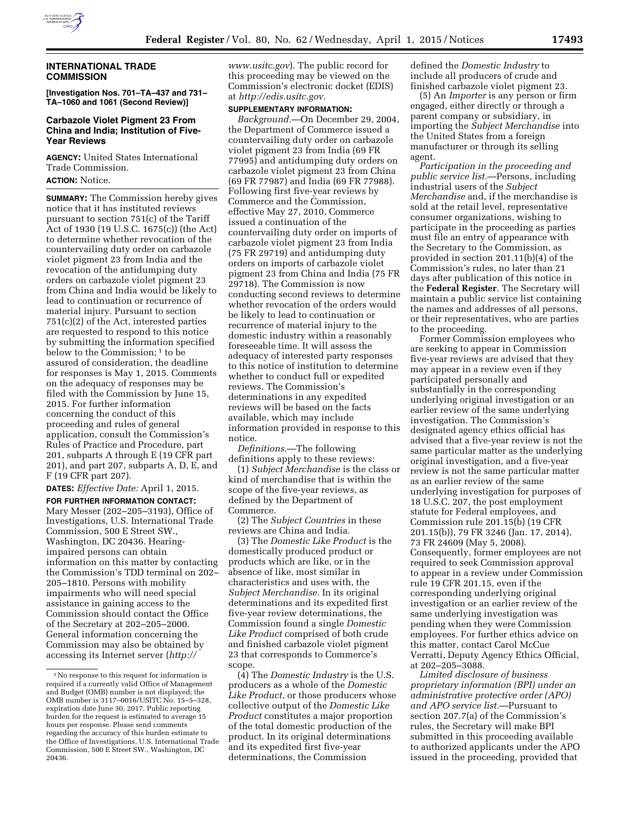

# **INTERNATIONAL TRADE COMMISSION**

**[Investigation Nos. 701–TA–437 and 731– TA–1060 and 1061 (Second Review)]** 

# **Carbazole Violet Pigment 23 From China and India; Institution of Five-Year Reviews**

**AGENCY:** United States International Trade Commission.

**ACTION:** Notice.

**SUMMARY:** The Commission hereby gives notice that it has instituted reviews pursuant to section 751(c) of the Tariff Act of 1930 (19 U.S.C. 1675(c)) (the Act) to determine whether revocation of the countervailing duty order on carbazole violet pigment 23 from India and the revocation of the antidumping duty orders on carbazole violet pigment 23 from China and India would be likely to lead to continuation or recurrence of material injury. Pursuant to section 751(c)(2) of the Act, interested parties are requested to respond to this notice by submitting the information specified below to the Commission;<sup>1</sup> to be assured of consideration, the deadline for responses is May 1, 2015. Comments on the adequacy of responses may be filed with the Commission by June 15, 2015. For further information concerning the conduct of this proceeding and rules of general application, consult the Commission's Rules of Practice and Procedure, part 201, subparts A through E (19 CFR part 201), and part 207, subparts A, D, E, and F (19 CFR part 207).

**DATES:** *Effective Date:* April 1, 2015.

**FOR FURTHER INFORMATION CONTACT:**  Mary Messer (202–205–3193), Office of Investigations, U.S. International Trade Commission, 500 E Street SW., Washington, DC 20436. Hearingimpaired persons can obtain information on this matter by contacting the Commission's TDD terminal on 202– 205–1810. Persons with mobility impairments who will need special assistance in gaining access to the Commission should contact the Office of the Secretary at 202–205–2000. General information concerning the Commission may also be obtained by accessing its Internet server (*[http://](http://www.usitc.gov)*

*[www.usitc.gov](http://www.usitc.gov)*). The public record for this proceeding may be viewed on the Commission's electronic docket (EDIS) at *<http://edis.usitc.gov>*.

### **SUPPLEMENTARY INFORMATION:**

*Background.*—On December 29, 2004, the Department of Commerce issued a countervailing duty order on carbazole violet pigment 23 from India (69 FR 77995) and antidumping duty orders on carbazole violet pigment 23 from China (69 FR 77987) and India (69 FR 77988). Following first five-year reviews by Commerce and the Commission, effective May 27, 2010, Commerce issued a continuation of the countervailing duty order on imports of carbazole violet pigment 23 from India (75 FR 29719) and antidumping duty orders on imports of carbazole violet pigment 23 from China and India (75 FR 29718). The Commission is now conducting second reviews to determine whether revocation of the orders would be likely to lead to continuation or recurrence of material injury to the domestic industry within a reasonably foreseeable time. It will assess the adequacy of interested party responses to this notice of institution to determine whether to conduct full or expedited reviews. The Commission's determinations in any expedited reviews will be based on the facts available, which may include information provided in response to this notice.

*Definitions.*—The following definitions apply to these reviews:

(1) *Subject Merchandise* is the class or kind of merchandise that is within the scope of the five-year reviews, as defined by the Department of Commerce.

(2) The *Subject Countries* in these reviews are China and India.

(3) The *Domestic Like Product* is the domestically produced product or products which are like, or in the absence of like, most similar in characteristics and uses with, the *Subject Merchandise.* In its original determinations and its expedited first five-year review determinations, the Commission found a single *Domestic Like Product* comprised of both crude and finished carbazole violet pigment 23 that corresponds to Commerce's scope.

(4) The *Domestic Industry* is the U.S. producers as a whole of the *Domestic Like Product*, or those producers whose collective output of the *Domestic Like Product* constitutes a major proportion of the total domestic production of the product. In its original determinations and its expedited first five-year determinations, the Commission

defined the *Domestic Industry* to include all producers of crude and finished carbazole violet pigment 23.

(5) An *Importer* is any person or firm engaged, either directly or through a parent company or subsidiary, in importing the *Subject Merchandise* into the United States from a foreign manufacturer or through its selling agent.

*Participation in the proceeding and public service list.*—Persons, including industrial users of the *Subject Merchandise* and, if the merchandise is sold at the retail level, representative consumer organizations, wishing to participate in the proceeding as parties must file an entry of appearance with the Secretary to the Commission, as provided in section 201.11(b)(4) of the Commission's rules, no later than 21 days after publication of this notice in the **Federal Register**. The Secretary will maintain a public service list containing the names and addresses of all persons, or their representatives, who are parties to the proceeding.

Former Commission employees who are seeking to appear in Commission five-year reviews are advised that they may appear in a review even if they participated personally and substantially in the corresponding underlying original investigation or an earlier review of the same underlying investigation. The Commission's designated agency ethics official has advised that a five-year review is not the same particular matter as the underlying original investigation, and a five-year review is not the same particular matter as an earlier review of the same underlying investigation for purposes of 18 U.S.C. 207, the post employment statute for Federal employees, and Commission rule 201.15(b) (19 CFR 201.15(b)), 79 FR 3246 (Jan. 17, 2014), 73 FR 24609 (May 5, 2008). Consequently, former employees are not required to seek Commission approval to appear in a review under Commission rule 19 CFR 201.15, even if the corresponding underlying original investigation or an earlier review of the same underlying investigation was pending when they were Commission employees. For further ethics advice on this matter, contact Carol McCue Verratti, Deputy Agency Ethics Official, at 202–205–3088.

*Limited disclosure of business proprietary information (BPI) under an administrative protective order (APO) and APO service list.*—Pursuant to section 207.7(a) of the Commission's rules, the Secretary will make BPI submitted in this proceeding available to authorized applicants under the APO issued in the proceeding, provided that

<sup>1</sup>No response to this request for information is required if a currently valid Office of Management and Budget (OMB) number is not displayed; the OMB number is 3117–0016/USITC No. 15–5–328, expiration date June 30, 2017. Public reporting burden for the request is estimated to average 15 hours per response. Please send comments regarding the accuracy of this burden estimate to the Office of Investigations, U.S. International Trade Commission, 500 E Street SW., Washington, DC 20436.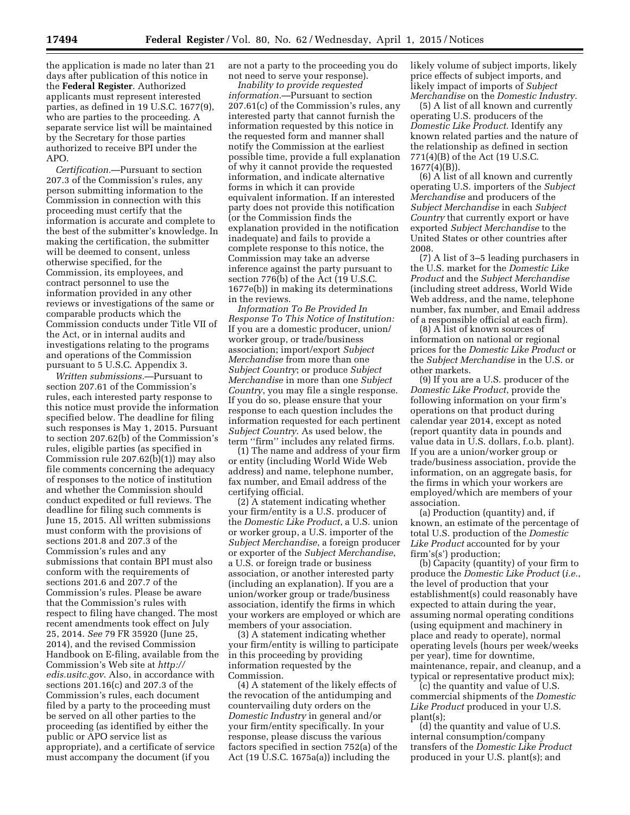the application is made no later than 21 days after publication of this notice in the **Federal Register**. Authorized applicants must represent interested parties, as defined in 19 U.S.C. 1677(9), who are parties to the proceeding. A separate service list will be maintained by the Secretary for those parties authorized to receive BPI under the APO.

*Certification.*—Pursuant to section 207.3 of the Commission's rules, any person submitting information to the Commission in connection with this proceeding must certify that the information is accurate and complete to the best of the submitter's knowledge. In making the certification, the submitter will be deemed to consent, unless otherwise specified, for the Commission, its employees, and contract personnel to use the information provided in any other reviews or investigations of the same or comparable products which the Commission conducts under Title VII of the Act, or in internal audits and investigations relating to the programs and operations of the Commission pursuant to 5 U.S.C. Appendix 3.

*Written submissions.*—Pursuant to section 207.61 of the Commission's rules, each interested party response to this notice must provide the information specified below. The deadline for filing such responses is May 1, 2015. Pursuant to section 207.62(b) of the Commission's rules, eligible parties (as specified in Commission rule 207.62(b)(1)) may also file comments concerning the adequacy of responses to the notice of institution and whether the Commission should conduct expedited or full reviews. The deadline for filing such comments is June 15, 2015. All written submissions must conform with the provisions of sections 201.8 and 207.3 of the Commission's rules and any submissions that contain BPI must also conform with the requirements of sections 201.6 and 207.7 of the Commission's rules. Please be aware that the Commission's rules with respect to filing have changed. The most recent amendments took effect on July 25, 2014. *See* 79 FR 35920 (June 25, 2014), and the revised Commission Handbook on E-filing, available from the Commission's Web site at *[http://](http://edis.usitc.gov) [edis.usitc.gov](http://edis.usitc.gov)*. Also, in accordance with sections 201.16(c) and 207.3 of the Commission's rules, each document filed by a party to the proceeding must be served on all other parties to the proceeding (as identified by either the public or APO service list as appropriate), and a certificate of service must accompany the document (if you

are not a party to the proceeding you do not need to serve your response).

*Inability to provide requested information.*—Pursuant to section 207.61(c) of the Commission's rules, any interested party that cannot furnish the information requested by this notice in the requested form and manner shall notify the Commission at the earliest possible time, provide a full explanation of why it cannot provide the requested information, and indicate alternative forms in which it can provide equivalent information. If an interested party does not provide this notification (or the Commission finds the explanation provided in the notification inadequate) and fails to provide a complete response to this notice, the Commission may take an adverse inference against the party pursuant to section 776(b) of the Act (19 U.S.C. 1677e(b)) in making its determinations in the reviews.

*Information To Be Provided In Response To This Notice of Institution:*  If you are a domestic producer, union/ worker group, or trade/business association; import/export *Subject Merchandise* from more than one *Subject Country*; or produce *Subject Merchandise* in more than one *Subject Country*, you may file a single response. If you do so, please ensure that your response to each question includes the information requested for each pertinent *Subject Country*. As used below, the term "firm" includes any related firms.

(1) The name and address of your firm or entity (including World Wide Web address) and name, telephone number, fax number, and Email address of the certifying official.

(2) A statement indicating whether your firm/entity is a U.S. producer of the *Domestic Like Product*, a U.S. union or worker group, a U.S. importer of the *Subject Merchandise*, a foreign producer or exporter of the *Subject Merchandise*, a U.S. or foreign trade or business association, or another interested party (including an explanation). If you are a union/worker group or trade/business association, identify the firms in which your workers are employed or which are members of your association.

(3) A statement indicating whether your firm/entity is willing to participate in this proceeding by providing information requested by the Commission.

(4) A statement of the likely effects of the revocation of the antidumping and countervailing duty orders on the *Domestic Industry* in general and/or your firm/entity specifically. In your response, please discuss the various factors specified in section 752(a) of the Act (19 U.S.C. 1675a(a)) including the

likely volume of subject imports, likely price effects of subject imports, and likely impact of imports of *Subject Merchandise* on the *Domestic Industry.* 

(5) A list of all known and currently operating U.S. producers of the *Domestic Like Product*. Identify any known related parties and the nature of the relationship as defined in section 771(4)(B) of the Act (19 U.S.C. 1677(4)(B)).

(6) A list of all known and currently operating U.S. importers of the *Subject Merchandise* and producers of the *Subject Merchandise* in each *Subject Country* that currently export or have exported *Subject Merchandise* to the United States or other countries after 2008.

(7) A list of 3–5 leading purchasers in the U.S. market for the *Domestic Like Product* and the *Subject Merchandise*  (including street address, World Wide Web address, and the name, telephone number, fax number, and Email address of a responsible official at each firm).

(8) A list of known sources of information on national or regional prices for the *Domestic Like Product* or the *Subject Merchandise* in the U.S. or other markets.

(9) If you are a U.S. producer of the *Domestic Like Product*, provide the following information on your firm's operations on that product during calendar year 2014, except as noted (report quantity data in pounds and value data in U.S. dollars, f.o.b. plant). If you are a union/worker group or trade/business association, provide the information, on an aggregate basis, for the firms in which your workers are employed/which are members of your association.

(a) Production (quantity) and, if known, an estimate of the percentage of total U.S. production of the *Domestic Like Product* accounted for by your firm's(s') production;

(b) Capacity (quantity) of your firm to produce the *Domestic Like Product* (*i.e.*, the level of production that your establishment(s) could reasonably have expected to attain during the year, assuming normal operating conditions (using equipment and machinery in place and ready to operate), normal operating levels (hours per week/weeks per year), time for downtime, maintenance, repair, and cleanup, and a typical or representative product mix);

(c) the quantity and value of U.S. commercial shipments of the *Domestic Like Product* produced in your U.S. plant(s);

(d) the quantity and value of U.S. internal consumption/company transfers of the *Domestic Like Product*  produced in your U.S. plant(s); and